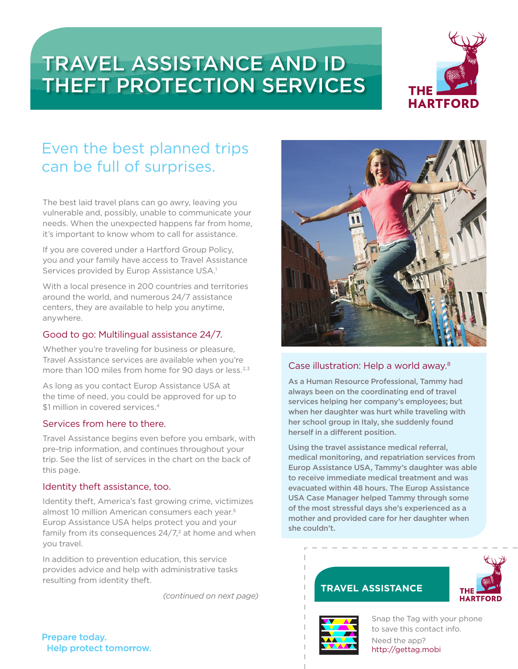# TRAVEL ASSISTANCE AND ID THEFT PROTECTION SERVICES



## Even the best planned trips can be full of surprises.

The best laid travel plans can go awry, leaving you vulnerable and, possibly, unable to communicate your needs. When the unexpected happens far from home, it's important to know whom to call for assistance.

If you are covered under a Hartford Group Policy, you and your family have access to Travel Assistance Services provided by Europ Assistance USA.<sup>1</sup>

With a local presence in 200 countries and territories around the world, and numerous 24/7 assistance centers, they are available to help you anytime, anywhere.

### Good to go: Multilingual assistance 24/7.

Whether you're traveling for business or pleasure, Travel Assistance services are available when you're more than 100 miles from home for 90 days or less.<sup>2,3</sup>

As long as you contact Europ Assistance USA at the time of need, you could be approved for up to \$1 million in covered services.<sup>4</sup>

### Services from here to there.

Travel Assistance begins even before you embark, with pre-trip information, and continues throughout your trip. See the list of services in the chart on the back of this page.

### Identity theft assistance, too.

Identity theft, America's fast growing crime, victimizes almost 10 million American consumers each year.<sup>5</sup> Europ Assistance USA helps protect you and your family from its consequences  $24/7$ ,<sup>2</sup> at home and when you travel.

In addition to prevention education, this service provides advice and help with administrative tasks resulting from identity theft.

*(continued on next page)*



### Case illustration: Help a world away.8

As a Human Resource Professional, Tammy had always been on the coordinating end of travel services helping her company's employees; but when her daughter was hurt while traveling with her school group in Italy, she suddenly found herself in a different position.

Using the travel assistance medical referral, medical monitoring, and repatriation services from Europ Assistance USA, Tammy's daughter was able to receive immediate medical treatment and was evacuated within 48 hours. The Europ Assistance USA Case Manager helped Tammy through some of the most stressful days she's experienced as a mother and provided care for her daughter when she couldn't.

### **TRAVEL ASSISTANCE**





 $T$   $\frac{1}{\sqrt{2\pi}}$  http://gettag.mobi Snap the Tag with your phone to save this contact info. Need the app?

Prepare today. Help protect tomorrow.